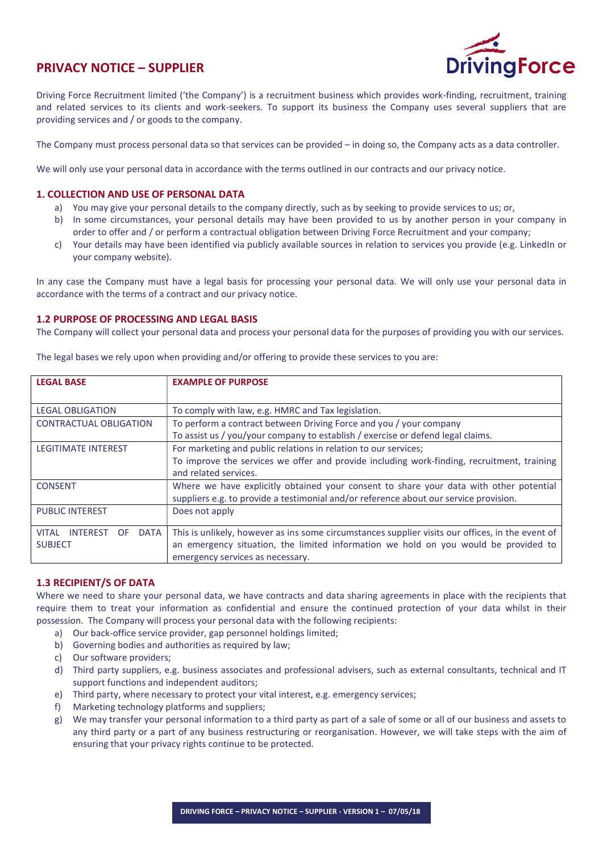

# PRIVACY NOTICE – SUPPLIER

Driving Force Recruitment limited ('the Company') is a recruitment business which provides work-finding, recruitment, training and related services to its clients and work-seekers. To support its business the Company uses several suppliers that are providing services and / or goods to the company.

The Company must process personal data so that services can be provided – in doing so, the Company acts as a data controller.

We will only use your personal data in accordance with the terms outlined in our contracts and our privacy notice.

## 1. COLLECTION AND USE OF PERSONAL DATA

- a) You may give your personal details to the company directly, such as by seeking to provide services to us; or,
- b) In some circumstances, your personal details may have been provided to us by another person in your company in order to offer and / or perform a contractual obligation between Driving Force Recruitment and your company;
- c) Your details may have been identified via publicly available sources in relation to services you provide (e.g. LinkedIn or your company website).

In any case the Company must have a legal basis for processing your personal data. We will only use your personal data in accordance with the terms of a contract and our privacy notice.

#### 1.2 PURPOSE OF PROCESSING AND LEGAL BASIS

The Company will collect your personal data and process your personal data for the purposes of providing you with our services.

| <b>LEGAL BASE</b>                              | <b>EXAMPLE OF PURPOSE</b>                                                                        |
|------------------------------------------------|--------------------------------------------------------------------------------------------------|
|                                                |                                                                                                  |
| <b>LEGAL OBLIGATION</b>                        | To comply with law, e.g. HMRC and Tax legislation.                                               |
| <b>CONTRACTUAL OBLIGATION</b>                  | To perform a contract between Driving Force and you / your company                               |
|                                                | To assist us / you/your company to establish / exercise or defend legal claims.                  |
| <b>LEGITIMATE INTEREST</b>                     | For marketing and public relations in relation to our services;                                  |
|                                                | To improve the services we offer and provide including work-finding, recruitment, training       |
|                                                | and related services.                                                                            |
| <b>CONSENT</b>                                 | Where we have explicitly obtained your consent to share your data with other potential           |
|                                                | suppliers e.g. to provide a testimonial and/or reference about our service provision.            |
| <b>PUBLIC INTEREST</b>                         | Does not apply                                                                                   |
|                                                |                                                                                                  |
| <b>DATA</b><br><b>VITAL</b><br><b>INTEREST</b> | This is unlikely, however as ins some circumstances supplier visits our offices, in the event of |
| <b>SUBJECT</b>                                 | an emergency situation, the limited information we hold on you would be provided to              |
|                                                | emergency services as necessary.                                                                 |

The legal bases we rely upon when providing and/or offering to provide these services to you are:

## 1.3 RECIPIENT/S OF DATA

Where we need to share your personal data, we have contracts and data sharing agreements in place with the recipients that require them to treat your information as confidential and ensure the continued protection of your data whilst in their possession. The Company will process your personal data with the following recipients:

- a) Our back-office service provider, gap personnel holdings limited;
- b) Governing bodies and authorities as required by law;
- c) Our software providers;
- d) Third party suppliers, e.g. business associates and professional advisers, such as external consultants, technical and IT support functions and independent auditors;
- e) Third party, where necessary to protect your vital interest, e.g. emergency services;
- f) Marketing technology platforms and suppliers;
- g) We may transfer your personal information to a third party as part of a sale of some or all of our business and assets to any third party or a part of any business restructuring or reorganisation. However, we will take steps with the aim of ensuring that your privacy rights continue to be protected.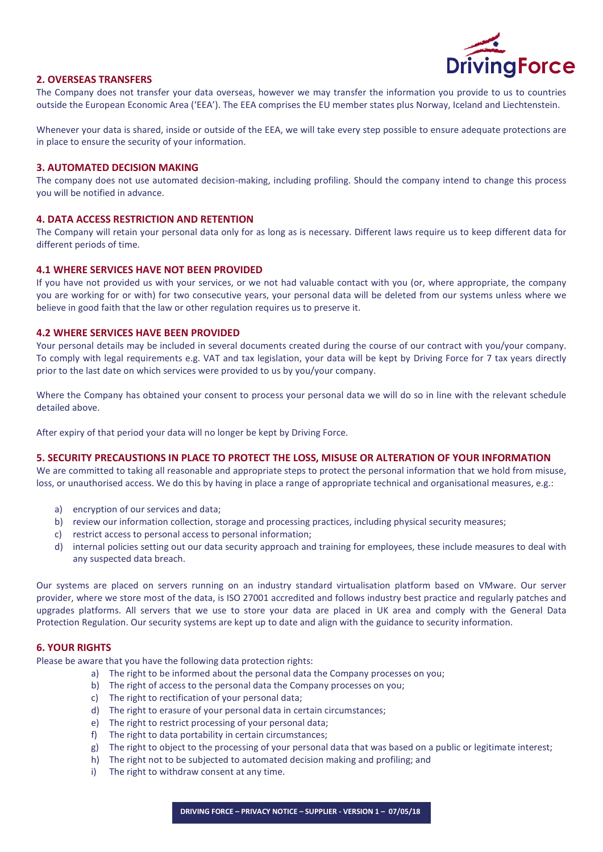

### 2. OVERSEAS TRANSFERS

The Company does not transfer your data overseas, however we may transfer the information you provide to us to countries outside the European Economic Area ('EEA'). The EEA comprises the EU member states plus Norway, Iceland and Liechtenstein.

Whenever your data is shared, inside or outside of the EEA, we will take every step possible to ensure adequate protections are in place to ensure the security of your information.

#### 3. AUTOMATED DECISION MAKING

The company does not use automated decision-making, including profiling. Should the company intend to change this process you will be notified in advance.

#### 4. DATA ACCESS RESTRICTION AND RETENTION

The Company will retain your personal data only for as long as is necessary. Different laws require us to keep different data for different periods of time.

#### 4.1 WHERE SERVICES HAVE NOT BEEN PROVIDED

If you have not provided us with your services, or we not had valuable contact with you (or, where appropriate, the company you are working for or with) for two consecutive years, your personal data will be deleted from our systems unless where we believe in good faith that the law or other regulation requires us to preserve it.

#### 4.2 WHERE SERVICES HAVE BEEN PROVIDED

Your personal details may be included in several documents created during the course of our contract with you/your company. To comply with legal requirements e.g. VAT and tax legislation, your data will be kept by Driving Force for 7 tax years directly prior to the last date on which services were provided to us by you/your company.

Where the Company has obtained your consent to process your personal data we will do so in line with the relevant schedule detailed above.

After expiry of that period your data will no longer be kept by Driving Force.

#### 5. SECURITY PRECAUSTIONS IN PLACE TO PROTECT THE LOSS, MISUSE OR ALTERATION OF YOUR INFORMATION

We are committed to taking all reasonable and appropriate steps to protect the personal information that we hold from misuse, loss, or unauthorised access. We do this by having in place a range of appropriate technical and organisational measures, e.g.:

- a) encryption of our services and data;
- b) review our information collection, storage and processing practices, including physical security measures;
- c) restrict access to personal access to personal information;
- d) internal policies setting out our data security approach and training for employees, these include measures to deal with any suspected data breach.

Our systems are placed on servers running on an industry standard virtualisation platform based on VMware. Our server provider, where we store most of the data, is ISO 27001 accredited and follows industry best practice and regularly patches and upgrades platforms. All servers that we use to store your data are placed in UK area and comply with the General Data Protection Regulation. Our security systems are kept up to date and align with the guidance to security information.

### 6. YOUR RIGHTS

Please be aware that you have the following data protection rights:

- a) The right to be informed about the personal data the Company processes on you;
- b) The right of access to the personal data the Company processes on you;
- c) The right to rectification of your personal data;
- d) The right to erasure of your personal data in certain circumstances;
- e) The right to restrict processing of your personal data;
- f) The right to data portability in certain circumstances;
- g) The right to object to the processing of your personal data that was based on a public or legitimate interest;
- h) The right not to be subjected to automated decision making and profiling; and
- i) The right to withdraw consent at any time.